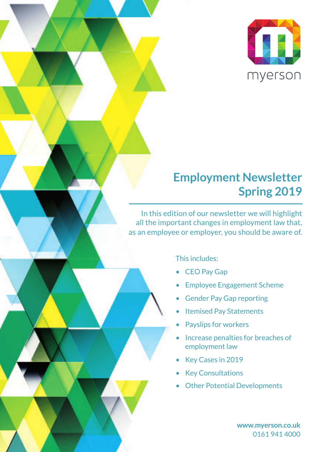

## **Employment Newsletter Spring 2019**

In this edition of our newsletter we will highlight all the important changes in employment law that, as an employee or employer, you should be aware of.

This includes:

- CEO Pay Gap
- Employee Engagement Scheme
- Gender Pay Gap reporting
- Itemised Pay Statements
- **Payslips for workers**
- Increase penalties for breaches of employment law
- Key Cases in 2019
- **Key Consultations**
- **Other Potential Developments**

**www.myerson.co.uk** 0161 941 4000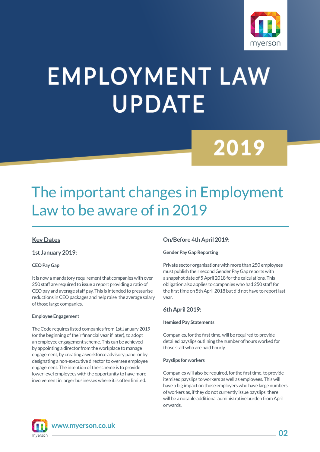

# **EMPLOYMENT LAW UPDATE**

## 2019

## The important changes in Employment Law to be aware of in 2019

#### **Key Dates**

**1st January 2019:**

#### **CEO Pay Gap**

It is now a mandatory requirement that companies with over 250 staff are required to issue a report providing a ratio of CEO pay and average staff pay. This is intended to pressurise reductions in CEO packages and help raise the average salary of those large companies.

#### **Employee Engagement**

The Code requires listed companies from 1st January 2019 (or the beginning of their financial year if later), to adopt an employee engagement scheme. This can be achieved by appointing a director from the workplace to manage engagement, by creating a workforce advisory panel or by designating a non-executive director to oversee employee engagement. The intention of the scheme is to provide lower level employees with the opportunity to have more involvement in larger businesses where it is often limited.

#### **On/Before 4th April 2019:**

#### **Gender Pay Gap Reporting**

Private sector organisations with more than 250 employees must publish their second Gender Pay Gap reports with a snapshot date of 5 April 2018 for the calculations. This obligation also applies to companies who had 250 staff for the first time on 5th April 2018 but did not have to report last year.

#### **6th April 2019:**

#### **Itemised Pay Statements**

Companies, for the first time, will be required to provide detailed payslips outlining the number of hours worked for those staff who are paid hourly.

#### **Payslips for workers**

Companies will also be required, for the first time, to provide itemised payslips to workers as well as employees. This will have a big impact on those employers who have large numbers of workers as, if they do not currently issue payslips, there will be a notable additional administrative burden from April onwards.



**www.myerson.co.uk**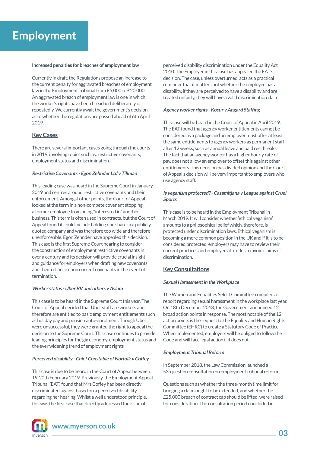### **Employment**

#### **Increased penalties for breaches of employment law**

Currently in draft, the Regulations propose an increase to the current penalty for aggravated breaches of employment law in the Employment Tribunal from £5,000 to £20,000. An aggravated breach of employment law is one in which the worker's rights have been breached deliberately or repeatedly. We currently await the government's decision as to whether the regulations are passed ahead of 6th April 2019.

#### **Key Cases**

There are several important cases going through the courts in 2019, involving topics such as: restrictive covenants, employment status and discrimination.

#### **Restrictive Covenants - Egon Zehnder Ltd v Tillman**

This leading case was heard in the Supreme Court in January 2019 and centres around restrictive covenants and their enforcement. Amongst other points, the Court of Appeal looked at the term in a non-compete covenant stopping a former employee from being "interested in" another business. This term is often used in contracts, but the Court of Appeal found it could include holding one share in a publicly quoted company and was therefore too wide and therefore unenforceable. Egon Zehnder have appealed this decision. This case is the first Supreme Court hearing to consider the construction of employment restrictive covenants in over a century and its decision will provide crucial insight and guidance for employers when drafting new covenants and their reliance upon current covenants in the event of termination.

#### **Worker status - Uber BV and others v Aslam**

This case is to be heard in the Supreme Court this year. The Court of Appeal decided that Uber staff are workers and therefore are entitled to basic employment entitlements such as holiday pay and pension auto-enrolment. Though Uber were unsuccessful, they were granted the right to appeal the decision to the Supreme Court. This case continues to provide leading principles for the gig economy, employment status and the ever widening trend of employment rights

#### **Perceived disability - Chief Constable of Norfolk v Coffey**

This case is due to be heard in the Court of Appeal between 19-20th February 2019. Previously, the Employment Appeal Tribunal (EAT) found that Mrs Coffey had been directly discriminated against based on a perceived disability regarding her hearing. Whilst a well understood principle, this was the first case that directly addressed the issue of



**www.myerson.co.uk**

perceived disability discrimination under the Equality Act 2010. The Employer in this case has appealed the EAT's decision. The case, unless overturned, acts as a practical reminder that it matters not whether the employee has a disability, if they are perceived to have a disability and are treated unfairly, they will have a valid discrimination claim.

#### **Agency worker rights - Kocur v Angard Staffing**

This case will be heard in the Court of Appeal in April 2019. The EAT found that agency worker entitlements cannot be considered as a package and an employer must offer at least the same entitlements to agency workers as permanent staff after 12 weeks, such as annual leave and paid rest breaks. The fact that an agency worker has a higher hourly rate of pay, does not allow an employer to offset this against other entitlements. This decision has divided opinion and the Court of Appeal's decision will be very important to employers who use agency staff.

#### **Is veganism protected? - Casamitjana v League against Cruel Sports**

This case is to be heard in the Employment Tribunal in March 2019. It will consider whether 'ethical veganism' amounts to a philosophical belief which, therefore, is protected under discrimination laws. Ethical veganism is becoming a more common position in the UK and if it is to be considered protected, employers may have to review their current practices and employee attitudes to avoid claims of discrimination.

#### **Key Consultations**

#### **Sexual Harassment in the Workplace**

The Women and Equalities Select Committee compiled a report regarding sexual harassment in the workplace last year. On 18th December 2018, the Government announced 12 broad action points in response. The most notable of the 12 action points is the request to the Equality and Human Rights Committee (EHRC) to create a Statutory Code of Practice. When implemented, employers will be obliged to follow the Code and will face legal action if it does not.

#### **Employment Tribunal Reform**

In September 2018, the Law Commission launched a 53-question consultation on employment tribunal reform.

Questions such as whether the three-month time limit for bringing a claim ought to be extended, and whether the £25,000 breach of contract cap should be lifted, were raised for consideration. The consultation period concluded in